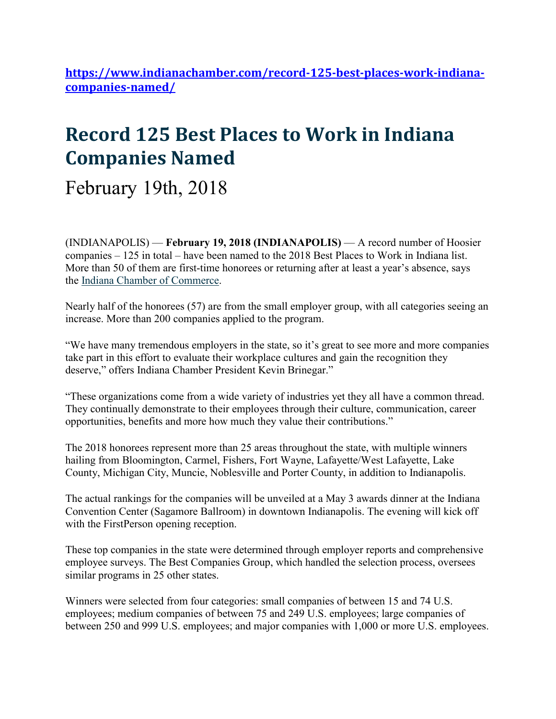**https://www.indianachamber.com/record-125-best-places-work-indianacompanies-named/**

# **Record 125 Best Places to Work in Indiana Companies Named**

February 19th, 2018

(INDIANAPOLIS) — **February 19, 2018 (INDIANAPOLIS)** — A record number of Hoosier companies – 125 in total – have been named to the 2018 Best Places to Work in Indiana list. More than 50 of them are first-time honorees or returning after at least a year's absence, says the Indiana Chamber of Commerce.

Nearly half of the honorees (57) are from the small employer group, with all categories seeing an increase. More than 200 companies applied to the program.

"We have many tremendous employers in the state, so it's great to see more and more companies take part in this effort to evaluate their workplace cultures and gain the recognition they deserve," offers Indiana Chamber President Kevin Brinegar."

"These organizations come from a wide variety of industries yet they all have a common thread. They continually demonstrate to their employees through their culture, communication, career opportunities, benefits and more how much they value their contributions."

The 2018 honorees represent more than 25 areas throughout the state, with multiple winners hailing from Bloomington, Carmel, Fishers, Fort Wayne, Lafayette/West Lafayette, Lake County, Michigan City, Muncie, Noblesville and Porter County, in addition to Indianapolis.

The actual rankings for the companies will be unveiled at a May 3 awards dinner at the Indiana Convention Center (Sagamore Ballroom) in downtown Indianapolis. The evening will kick off with the FirstPerson opening reception.

These top companies in the state were determined through employer reports and comprehensive employee surveys. The Best Companies Group, which handled the selection process, oversees similar programs in 25 other states.

Winners were selected from four categories: small companies of between 15 and 74 U.S. employees; medium companies of between 75 and 249 U.S. employees; large companies of between 250 and 999 U.S. employees; and major companies with 1,000 or more U.S. employees.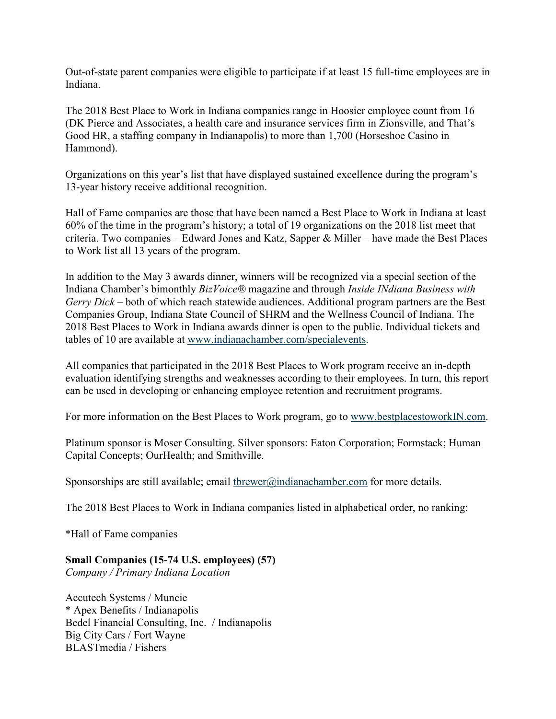Out-of-state parent companies were eligible to participate if at least 15 full-time employees are in Indiana.

The 2018 Best Place to Work in Indiana companies range in Hoosier employee count from 16 (DK Pierce and Associates, a health care and insurance services firm in Zionsville, and That's Good HR, a staffing company in Indianapolis) to more than 1,700 (Horseshoe Casino in Hammond).

Organizations on this year's list that have displayed sustained excellence during the program's 13-year history receive additional recognition.

Hall of Fame companies are those that have been named a Best Place to Work in Indiana at least 60% of the time in the program's history; a total of 19 organizations on the 2018 list meet that criteria. Two companies – Edward Jones and Katz, Sapper & Miller – have made the Best Places to Work list all 13 years of the program.

In addition to the May 3 awards dinner, winners will be recognized via a special section of the Indiana Chamber's bimonthly *BizVoice®* magazine and through *Inside INdiana Business with Gerry Dick* – both of which reach statewide audiences. Additional program partners are the Best Companies Group, Indiana State Council of SHRM and the Wellness Council of Indiana. The 2018 Best Places to Work in Indiana awards dinner is open to the public. Individual tickets and tables of 10 are available at www.indianachamber.com/specialevents.

All companies that participated in the 2018 Best Places to Work program receive an in-depth evaluation identifying strengths and weaknesses according to their employees. In turn, this report can be used in developing or enhancing employee retention and recruitment programs.

For more information on the Best Places to Work program, go to www.bestplacestoworkIN.com.

Platinum sponsor is Moser Consulting. Silver sponsors: Eaton Corporation; Formstack; Human Capital Concepts; OurHealth; and Smithville.

Sponsorships are still available; email threwer@indianachamber.com for more details.

The 2018 Best Places to Work in Indiana companies listed in alphabetical order, no ranking:

\*Hall of Fame companies

## **Small Companies (15-74 U.S. employees) (57)**

*Company / Primary Indiana Location*

Accutech Systems / Muncie \* Apex Benefits / Indianapolis Bedel Financial Consulting, Inc. / Indianapolis Big City Cars / Fort Wayne BLASTmedia / Fishers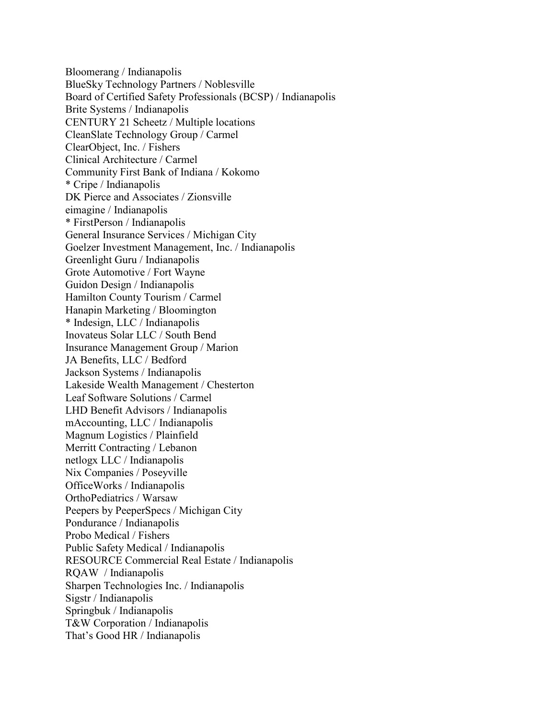Bloomerang / Indianapolis BlueSky Technology Partners / Noblesville Board of Certified Safety Professionals (BCSP) / Indianapolis Brite Systems / Indianapolis CENTURY 21 Scheetz / Multiple locations CleanSlate Technology Group / Carmel ClearObject, Inc. / Fishers Clinical Architecture / Carmel Community First Bank of Indiana / Kokomo \* Cripe / Indianapolis DK Pierce and Associates / Zionsville eimagine / Indianapolis \* FirstPerson / Indianapolis General Insurance Services / Michigan City Goelzer Investment Management, Inc. / Indianapolis Greenlight Guru / Indianapolis Grote Automotive / Fort Wayne Guidon Design / Indianapolis Hamilton County Tourism / Carmel Hanapin Marketing / Bloomington \* Indesign, LLC / Indianapolis Inovateus Solar LLC / South Bend Insurance Management Group / Marion JA Benefits, LLC / Bedford Jackson Systems / Indianapolis Lakeside Wealth Management / Chesterton Leaf Software Solutions / Carmel LHD Benefit Advisors / Indianapolis mAccounting, LLC / Indianapolis Magnum Logistics / Plainfield Merritt Contracting / Lebanon netlogx LLC / Indianapolis Nix Companies / Poseyville OfficeWorks / Indianapolis OrthoPediatrics / Warsaw Peepers by PeeperSpecs / Michigan City Pondurance / Indianapolis Probo Medical / Fishers Public Safety Medical / Indianapolis RESOURCE Commercial Real Estate / Indianapolis RQAW / Indianapolis Sharpen Technologies Inc. / Indianapolis Sigstr / Indianapolis Springbuk / Indianapolis T&W Corporation / Indianapolis That's Good HR / Indianapolis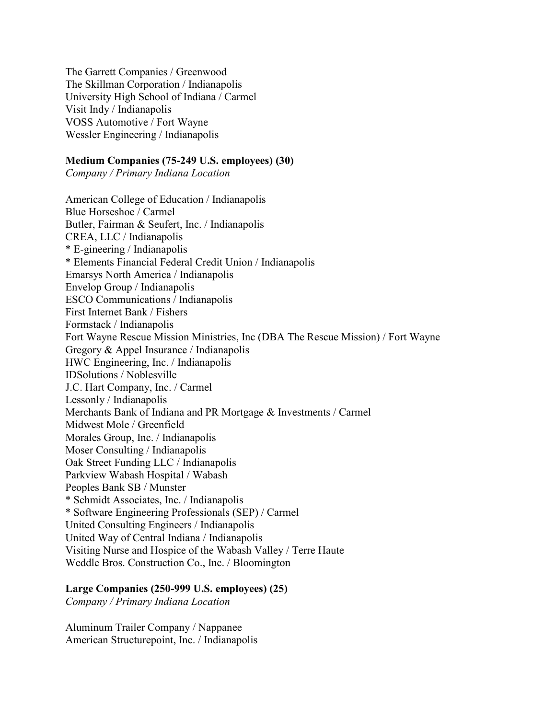The Garrett Companies / Greenwood The Skillman Corporation / Indianapolis University High School of Indiana / Carmel Visit Indy / Indianapolis VOSS Automotive / Fort Wayne Wessler Engineering / Indianapolis

### **Medium Companies (75-249 U.S. employees) (30)**

*Company / Primary Indiana Location*

American College of Education / Indianapolis Blue Horseshoe / Carmel Butler, Fairman & Seufert, Inc. / Indianapolis CREA, LLC / Indianapolis \* E-gineering / Indianapolis \* Elements Financial Federal Credit Union / Indianapolis Emarsys North America / Indianapolis Envelop Group / Indianapolis ESCO Communications / Indianapolis First Internet Bank / Fishers Formstack / Indianapolis Fort Wayne Rescue Mission Ministries, Inc (DBA The Rescue Mission) / Fort Wayne Gregory & Appel Insurance / Indianapolis HWC Engineering, Inc. / Indianapolis IDSolutions / Noblesville J.C. Hart Company, Inc. / Carmel Lessonly / Indianapolis Merchants Bank of Indiana and PR Mortgage & Investments / Carmel Midwest Mole / Greenfield Morales Group, Inc. / Indianapolis Moser Consulting / Indianapolis Oak Street Funding LLC / Indianapolis Parkview Wabash Hospital / Wabash Peoples Bank SB / Munster \* Schmidt Associates, Inc. / Indianapolis \* Software Engineering Professionals (SEP) / Carmel United Consulting Engineers / Indianapolis United Way of Central Indiana / Indianapolis Visiting Nurse and Hospice of the Wabash Valley / Terre Haute Weddle Bros. Construction Co., Inc. / Bloomington

#### **Large Companies (250-999 U.S. employees) (25)**

*Company / Primary Indiana Location*

Aluminum Trailer Company / Nappanee American Structurepoint, Inc. / Indianapolis